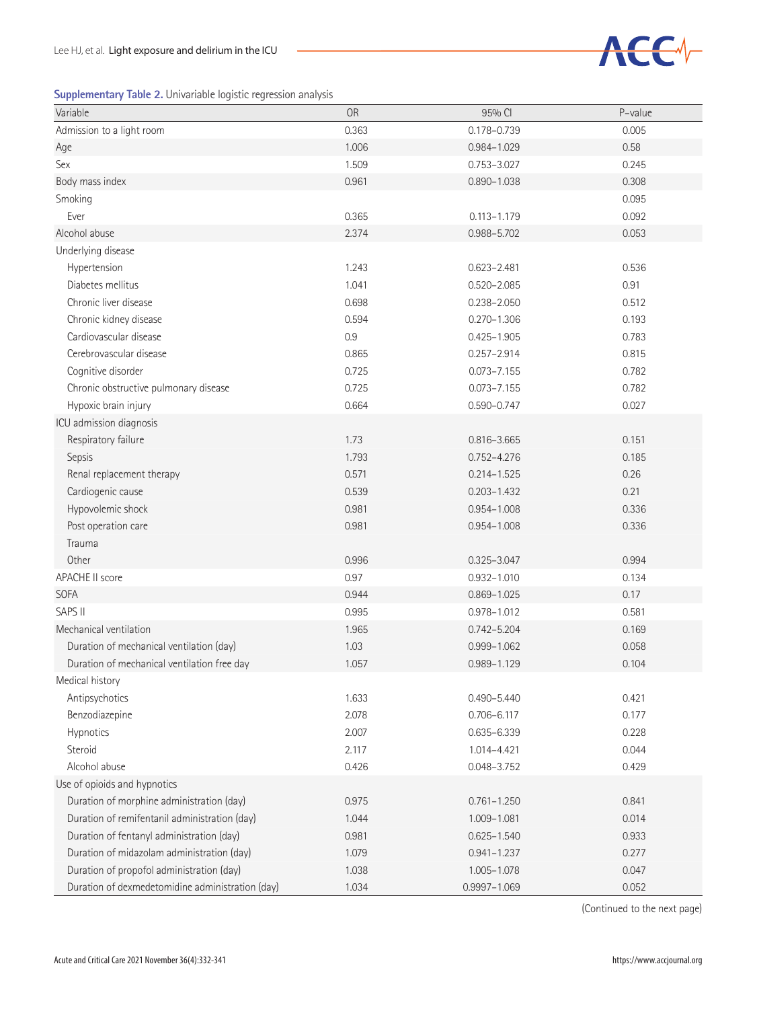|  |  | Supplementary Table 2. Univariable logistic regression analysis |  |  |  |
|--|--|-----------------------------------------------------------------|--|--|--|
|--|--|-----------------------------------------------------------------|--|--|--|



| n n<br>Variable                                  | <b>OR</b> | 95% CI           | P-value |
|--------------------------------------------------|-----------|------------------|---------|
| Admission to a light room                        | 0.363     | $0.178 - 0.739$  | 0.005   |
| Age                                              | 1.006     | 0.984-1.029      | 0.58    |
| Sex                                              | 1.509     | $0.753 - 3.027$  | 0.245   |
| Body mass index                                  | 0.961     | $0.890 - 1.038$  | 0.308   |
| Smoking                                          |           |                  | 0.095   |
| Ever                                             | 0.365     | $0.113 - 1.179$  | 0.092   |
| Alcohol abuse                                    | 2.374     | 0.988-5.702      | 0.053   |
| Underlying disease                               |           |                  |         |
| Hypertension                                     | 1.243     | $0.623 - 2.481$  | 0.536   |
| Diabetes mellitus                                | 1.041     | $0.520 - 2.085$  | 0.91    |
| Chronic liver disease                            | 0.698     | $0.238 - 2.050$  | 0.512   |
| Chronic kidney disease                           | 0.594     | $0.270 - 1.306$  | 0.193   |
| Cardiovascular disease                           | 0.9       | $0.425 - 1.905$  | 0.783   |
| Cerebrovascular disease                          | 0.865     | $0.257 - 2.914$  | 0.815   |
| Cognitive disorder                               | 0.725     | $0.073 - 7.155$  | 0.782   |
| Chronic obstructive pulmonary disease            | 0.725     | $0.073 - 7.155$  | 0.782   |
| Hypoxic brain injury                             | 0.664     | $0.590 - 0.747$  | 0.027   |
| ICU admission diagnosis                          |           |                  |         |
| Respiratory failure                              | 1.73      | 0.816-3.665      | 0.151   |
| Sepsis                                           | 1.793     | $0.752 - 4.276$  | 0.185   |
| Renal replacement therapy                        | 0.571     | $0.214 - 1.525$  | 0.26    |
| Cardiogenic cause                                | 0.539     | $0.203 - 1.432$  | 0.21    |
| Hypovolemic shock                                | 0.981     | $0.954 - 1.008$  | 0.336   |
| Post operation care                              | 0.981     | $0.954 - 1.008$  | 0.336   |
| Trauma                                           |           |                  |         |
| Other                                            | 0.996     | $0.325 - 3.047$  | 0.994   |
| <b>APACHE II score</b>                           | 0.97      | $0.932 - 1.010$  | 0.134   |
| <b>SOFA</b>                                      | 0.944     | $0.869 - 1.025$  | 0.17    |
| SAPS II                                          | 0.995     | $0.978 - 1.012$  | 0.581   |
| Mechanical ventilation                           | 1.965     | $0.742 - 5.204$  | 0.169   |
| Duration of mechanical ventilation (day)         | 1.03      | $0.999 - 1.062$  | 0.058   |
| Duration of mechanical ventilation free day      | 1.057     | $0.989 - 1.129$  | 0.104   |
| Medical history                                  |           |                  |         |
| Antipsychotics                                   | 1.633     | $0.490 - 5.440$  | 0.421   |
| Benzodiazepine                                   | 2.078     | $0.706 - 6.117$  | 0.177   |
| Hypnotics                                        | 2.007     | 0.635-6.339      | 0.228   |
| Steroid                                          | 2.117     | 1.014-4.421      | 0.044   |
| Alcohol abuse                                    | 0.426     | 0.048-3.752      | 0.429   |
| Use of opioids and hypnotics                     |           |                  |         |
| Duration of morphine administration (day)        | 0.975     | $0.761 - 1.250$  | 0.841   |
| Duration of remifentanil administration (day)    | 1.044     | 1.009-1.081      | 0.014   |
| Duration of fentanyl administration (day)        | 0.981     | $0.625 - 1.540$  | 0.933   |
| Duration of midazolam administration (day)       | 1.079     | $0.941 - 1.237$  | 0.277   |
| Duration of propofol administration (day)        | 1.038     | $1.005 - 1.078$  | 0.047   |
| Duration of dexmedetomidine administration (day) | 1.034     | $0.9997 - 1.069$ | 0.052   |

(Continued to the next page)